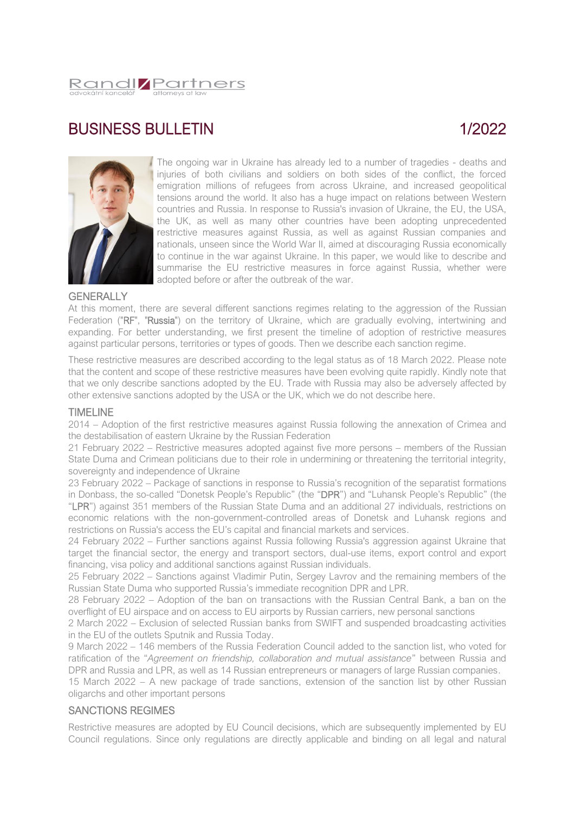

# BUSINESS BULLETIN

# 1/2022



The ongoing war in Ukraine has already led to a number of tragedies - deaths and injuries of both civilians and soldiers on both sides of the conflict, the forced emigration millions of refugees from across Ukraine, and increased geopolitical tensions around the world. It also has a huge impact on relations between Western countries and Russia. In response to Russia's invasion of Ukraine, the EU, the USA, the UK, as well as many other countries have been adopting unprecedented restrictive measures against Russia, as well as against Russian companies and nationals, unseen since the World War II, aimed at discouraging Russia economically to continue in the war against Ukraine. In this paper, we would like to describe and summarise the EU restrictive measures in force against Russia, whether were adopted before or after the outbreak of the war.

## **GENERALLY**

At this moment, there are several different sanctions regimes relating to the aggression of the Russian Federation ("RF", "Russia") on the territory of Ukraine, which are gradually evolving, intertwining and expanding. For better understanding, we first present the timeline of adoption of restrictive measures against particular persons, territories or types of goods. Then we describe each sanction regime.

These restrictive measures are described according to the legal status as of 18 March 2022. Please note that the content and scope of these restrictive measures have been evolving quite rapidly. Kindly note that that we only describe sanctions adopted by the EU. Trade with Russia may also be adversely affected by other extensive sanctions adopted by the USA or the UK, which we do not describe here.

## TIMELINE

2014 – Adoption of the first restrictive measures against Russia following the annexation of Crimea and the destabilisation of eastern Ukraine by the Russian Federation

21 February 2022 – Restrictive measures adopted against five more persons – members of the Russian State Duma and Crimean politicians due to their role in undermining or threatening the territorial integrity, sovereignty and independence of Ukraine

23 February 2022 – Package of sanctions in response to Russia's recognition of the separatist formations in Donbass, the so-called "Donetsk People's Republic" (the "DPR") and "Luhansk People's Republic" (the "LPR") against 351 members of the Russian State Duma and an additional 27 individuals, restrictions on economic relations with the non-government-controlled areas of Donetsk and Luhansk regions and restrictions on Russia's access the EU's capital and financial markets and services.

24 February 2022 – Further sanctions against Russia following Russia's aggression against Ukraine that target the financial sector, the energy and transport sectors, dual-use items, export control and export financing, visa policy and additional sanctions against Russian individuals.

25 February 2022 – Sanctions against Vladimir Putin, Sergey Lavrov and the remaining members of the Russian State Duma who supported Russia's immediate recognition DPR and LPR.

28 February 2022 – Adoption of the ban on transactions with the Russian Central Bank, a ban on the overflight of EU airspace and on access to EU airports by Russian carriers, new personal sanctions

2 March 2022 – Exclusion of selected Russian banks from SWIFT and suspended broadcasting activities in the EU of the outlets Sputnik and Russia Today.

9 March 2022 – 146 members of the Russia Federation Council added to the sanction list, who voted for ratification of the "*Agreement on friendship, collaboration and mutual assistance*" between Russia and DPR and Russia and LPR, as well as 14 Russian entrepreneurs or managers of large Russian companies.

15 March 2022 – A new package of trade sanctions, extension of the sanction list by other Russian oligarchs and other important persons

# SANCTIONS REGIMES

Restrictive measures are adopted by EU Council decisions, which are subsequently implemented by EU Council regulations. Since only regulations are directly applicable and binding on all legal and natural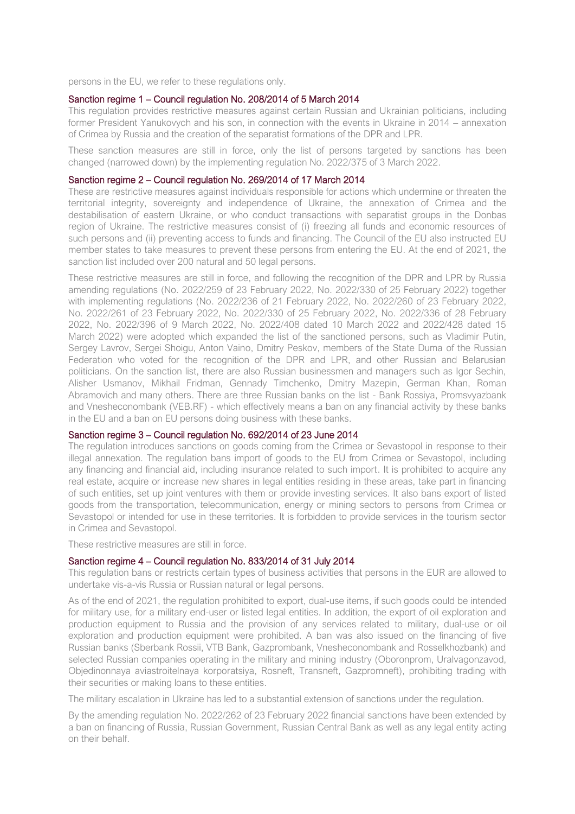persons in the EU, we refer to these regulations only.

#### Sanction regime 1 – Council regulation No. 208/2014 of 5 March 2014

This regulation provides restrictive measures against certain Russian and Ukrainian politicians, including former President Yanukovych and his son, in connection with the events in Ukraine in 2014 – annexation of Crimea by Russia and the creation of the separatist formations of the DPR and LPR.

These sanction measures are still in force, only the list of persons targeted by sanctions has been changed (narrowed down) by the implementing regulation No. 2022/375 of 3 March 2022.

#### Sanction regime 2 – Council regulation No. 269/2014 of 17 March 2014

These are restrictive measures against individuals responsible for actions which undermine or threaten the territorial integrity, sovereignty and independence of Ukraine, the annexation of Crimea and the destabilisation of eastern Ukraine, or who conduct transactions with separatist groups in the Donbas region of Ukraine. The restrictive measures consist of (i) freezing all funds and economic resources of such persons and (ii) preventing access to funds and financing. The Council of the EU also instructed EU member states to take measures to prevent these persons from entering the EU. At the end of 2021, the sanction list included over 200 natural and 50 legal persons.

These restrictive measures are still in force, and following the recognition of the DPR and LPR by Russia amending regulations (No. 2022/259 of 23 February 2022, No. 2022/330 of 25 February 2022) together with implementing regulations (No. 2022/236 of 21 February 2022, No. 2022/260 of 23 February 2022, No. 2022/261 of 23 February 2022, No. 2022/330 of 25 February 2022, No. 2022/336 of 28 February 2022, No. 2022/396 of 9 March 2022, No. 2022/408 dated 10 March 2022 and 2022/428 dated 15 March 2022) were adopted which expanded the list of the sanctioned persons, such as Vladimir Putin, Sergey Lavrov, Sergei Shoigu, Anton Vaino, Dmitry Peskov, members of the State Duma of the Russian Federation who voted for the recognition of the DPR and LPR, and other Russian and Belarusian politicians. On the sanction list, there are also Russian businessmen and managers such as Igor Sechin, Alisher Usmanov, Mikhail Fridman, Gennady Timchenko, Dmitry Mazepin, German Khan, Roman Abramovich and many others. There are three Russian banks on the list - Bank Rossiya, Promsvyazbank and Vnesheconombank (VEB.RF) - which effectively means a ban on any financial activity by these banks in the EU and a ban on EU persons doing business with these banks.

## Sanction regime 3 – Council regulation No. 692/2014 of 23 June 2014

The regulation introduces sanctions on goods coming from the Crimea or Sevastopol in response to their illegal annexation. The regulation bans import of goods to the EU from Crimea or Sevastopol, including any financing and financial aid, including insurance related to such import. It is prohibited to acquire any real estate, acquire or increase new shares in legal entities residing in these areas, take part in financing of such entities, set up joint ventures with them or provide investing services. It also bans export of listed goods from the transportation, telecommunication, energy or mining sectors to persons from Crimea or Sevastopol or intended for use in these territories. It is forbidden to provide services in the tourism sector in Crimea and Sevastopol.

These restrictive measures are still in force.

## Sanction regime 4 – Council regulation No. 833/2014 of 31 July 2014

This regulation bans or restricts certain types of business activities that persons in the EUR are allowed to undertake vis-a-vis Russia or Russian natural or legal persons.

As of the end of 2021, the regulation prohibited to export, dual-use items, if such goods could be intended for military use, for a military end-user or listed legal entities. In addition, the export of oil exploration and production equipment to Russia and the provision of any services related to military, dual-use or oil exploration and production equipment were prohibited. A ban was also issued on the financing of five Russian banks (Sberbank Rossii, VTB Bank, Gazprombank, Vnesheconombank and Rosselkhozbank) and selected Russian companies operating in the military and mining industry (Oboronprom, Uralvagonzavod, Objedinonnaya aviastroitelnaya korporatsiya, Rosneft, Transneft, Gazpromneft), prohibiting trading with their securities or making loans to these entities.

The military escalation in Ukraine has led to a substantial extension of sanctions under the regulation.

By the amending regulation No. 2022/262 of 23 February 2022 financial sanctions have been extended by a ban on financing of Russia, Russian Government, Russian Central Bank as well as any legal entity acting on their behalf.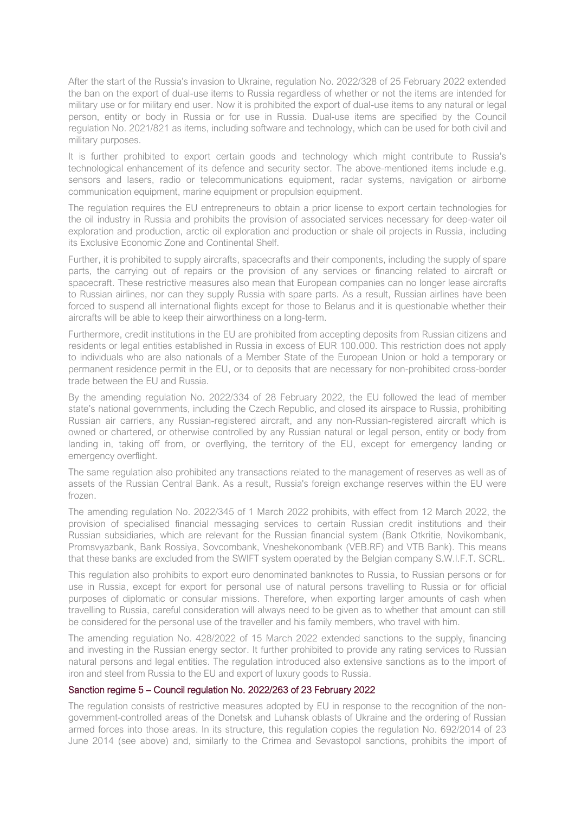After the start of the Russia's invasion to Ukraine, regulation No. 2022/328 of 25 February 2022 extended the ban on the export of dual-use items to Russia regardless of whether or not the items are intended for military use or for military end user. Now it is prohibited the export of dual-use items to any natural or legal person, entity or body in Russia or for use in Russia. Dual-use items are specified by the Council regulation No. 2021/821 as items, including software and technology, which can be used for both civil and military purposes.

It is further prohibited to export certain goods and technology which might contribute to Russia's technological enhancement of its defence and security sector. The above-mentioned items include e.g. sensors and lasers, radio or telecommunications equipment, radar systems, navigation or airborne communication equipment, marine equipment or propulsion equipment.

The regulation requires the EU entrepreneurs to obtain a prior license to export certain technologies for the oil industry in Russia and prohibits the provision of associated services necessary for deep-water oil exploration and production, arctic oil exploration and production or shale oil projects in Russia, including its Exclusive Economic Zone and Continental Shelf.

Further, it is prohibited to supply aircrafts, spacecrafts and their components, including the supply of spare parts, the carrying out of repairs or the provision of any services or financing related to aircraft or spacecraft. These restrictive measures also mean that European companies can no longer lease aircrafts to Russian airlines, nor can they supply Russia with spare parts. As a result, Russian airlines have been forced to suspend all international flights except for those to Belarus and it is questionable whether their aircrafts will be able to keep their airworthiness on a long-term.

Furthermore, credit institutions in the EU are prohibited from accepting deposits from Russian citizens and residents or legal entities established in Russia in excess of EUR 100.000. This restriction does not apply to individuals who are also nationals of a Member State of the European Union or hold a temporary or permanent residence permit in the EU, or to deposits that are necessary for non-prohibited cross-border trade between the EU and Russia.

By the amending regulation No. 2022/334 of 28 February 2022, the EU followed the lead of member state's national governments, including the Czech Republic, and closed its airspace to Russia, prohibiting Russian air carriers, any Russian-registered aircraft, and any non-Russian-registered aircraft which is owned or chartered, or otherwise controlled by any Russian natural or legal person, entity or body from landing in, taking off from, or overflying, the territory of the EU, except for emergency landing or emergency overflight.

The same regulation also prohibited any transactions related to the management of reserves as well as of assets of the Russian Central Bank. As a result, Russia's foreign exchange reserves within the EU were frozen.

The amending regulation No. 2022/345 of 1 March 2022 prohibits, with effect from 12 March 2022, the provision of specialised financial messaging services to certain Russian credit institutions and their Russian subsidiaries, which are relevant for the Russian financial system (Bank Otkritie, Novikombank, Promsvyazbank, Bank Rossiya, Sovcombank, Vneshekonombank (VEB.RF) and VTB Bank). This means that these banks are excluded from the SWIFT system operated by the Belgian company S.W.I.F.T. SCRL.

This regulation also prohibits to export euro denominated banknotes to Russia, to Russian persons or for use in Russia, except for export for personal use of natural persons travelling to Russia or for official purposes of diplomatic or consular missions. Therefore, when exporting larger amounts of cash when travelling to Russia, careful consideration will always need to be given as to whether that amount can still be considered for the personal use of the traveller and his family members, who travel with him.

The amending regulation No. 428/2022 of 15 March 2022 extended sanctions to the supply, financing and investing in the Russian energy sector. It further prohibited to provide any rating services to Russian natural persons and legal entities. The regulation introduced also extensive sanctions as to the import of iron and steel from Russia to the EU and export of luxury goods to Russia.

## Sanction regime 5 – Council regulation No. 2022/263 of 23 February 2022

The regulation consists of restrictive measures adopted by EU in response to the recognition of the nongovernment-controlled areas of the Donetsk and Luhansk oblasts of Ukraine and the ordering of Russian armed forces into those areas. In its structure, this regulation copies the regulation No. 692/2014 of 23 June 2014 (see above) and, similarly to the Crimea and Sevastopol sanctions, prohibits the import of